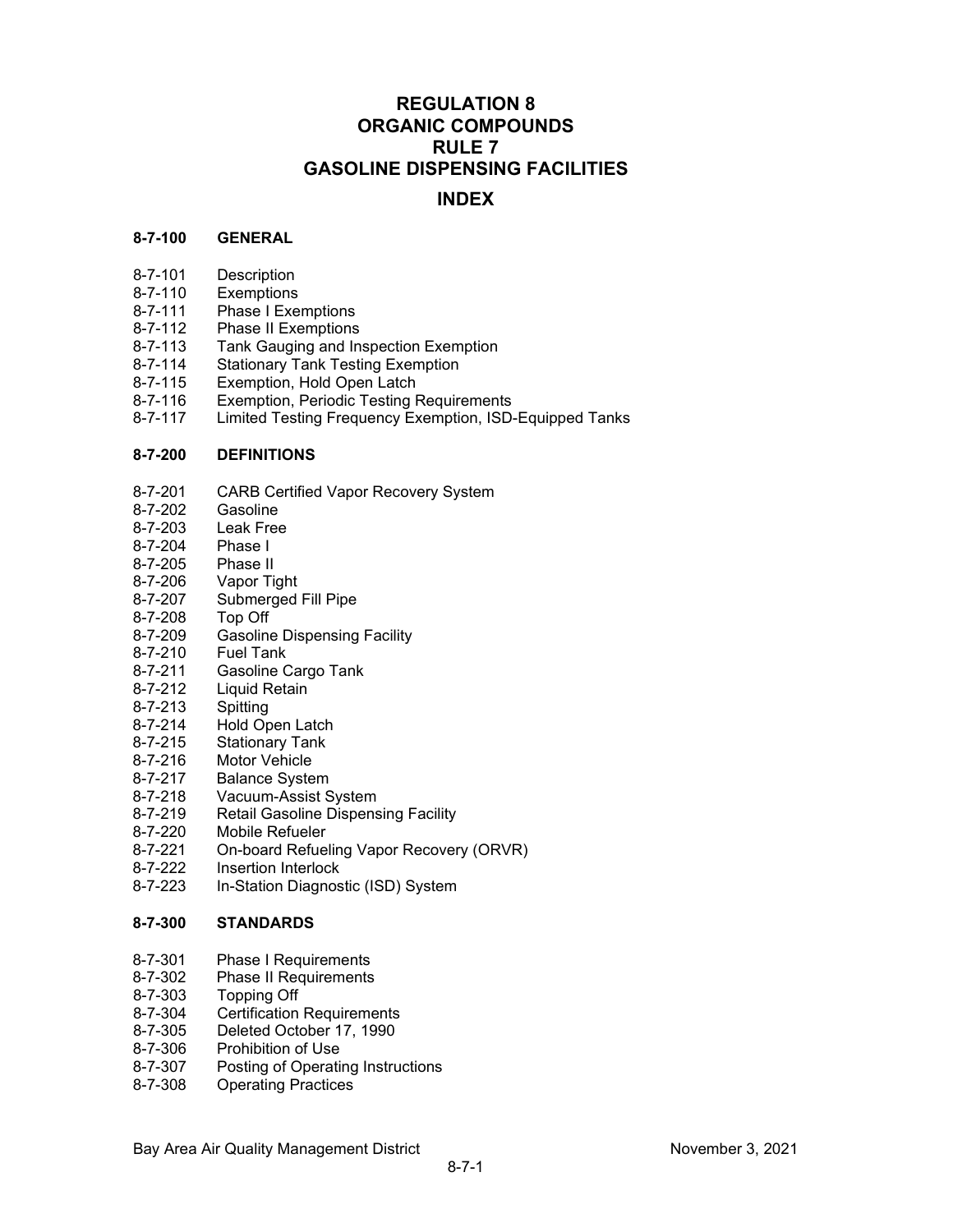# **REGULATION 8 ORGANIC COMPOUNDS RULE 7 GASOLINE DISPENSING FACILITIES**

# **INDEX**

## **8-7-100 GENERAL**

- 8-7-101 Description
- 
- 8-7-110 Exemptions<br>8-7-111 Phase I Exe Phase I Exemptions
- 8-7-112 Phase II Exemptions
- 8-7-113 Tank Gauging and Inspection Exemption
- 8-7-114 Stationary Tank Testing Exemption
- 8-7-115 Exemption, Hold Open Latch
- 8-7-116 Exemption, Periodic Testing Requirements
- Limited Testing Frequency Exemption, ISD-Equipped Tanks

# **8-7-200 DEFINITIONS**

- 8-7-201 CARB Certified Vapor Recovery System
- 8-7-202 Gasoline
- 8-7-203 Leak Free
- 8-7-204 Phase I
- 8-7-205 Phase II<br>8-7-206 Vapor Ti
- 8-7-206 Vapor Tight<br>8-7-207 Submerged
- Submerged Fill Pipe
- 8-7-208 Top Off<br>8-7-209 Gasolin
- **Gasoline Dispensing Facility**
- 8-7-210 Fuel Tank
- 8-7-211 Gasoline Cargo Tank
- 8-7-212 Liquid Retain
- 8-7-213 Spitting
- 8-7-214 Hold Open Latch<br>8-7-215 Stationary Tank
- 8-7-215 Stationary Tank<br>8-7-216 Motor Vehicle
- 8-7-216 Motor Vehicle<br>8-7-217 Balance Syste
- **Balance System**
- 8-7-218 Vacuum-Assist System
- 8-7-219 Retail Gasoline Dispensing Facility
- 8-7-220 Mobile Refueler
- 8-7-221 On-board Refueling Vapor Recovery (ORVR)
- 8-7-222 Insertion Interlock
- 8-7-223 In-Station Diagnostic (ISD) System

## **8-7-300 STANDARDS**

- 8-7-301 Phase I Requirements
- 8-7-302 Phase II Requirements
- 8-7-303 Topping Off
- 8-7-304 Certification Requirements
- 8-7-305 Deleted October 17, 1990
- 8-7-306 Prohibition of Use<br>8-7-307 Posting of Operati
- Posting of Operating Instructions
- 8-7-308 Operating Practices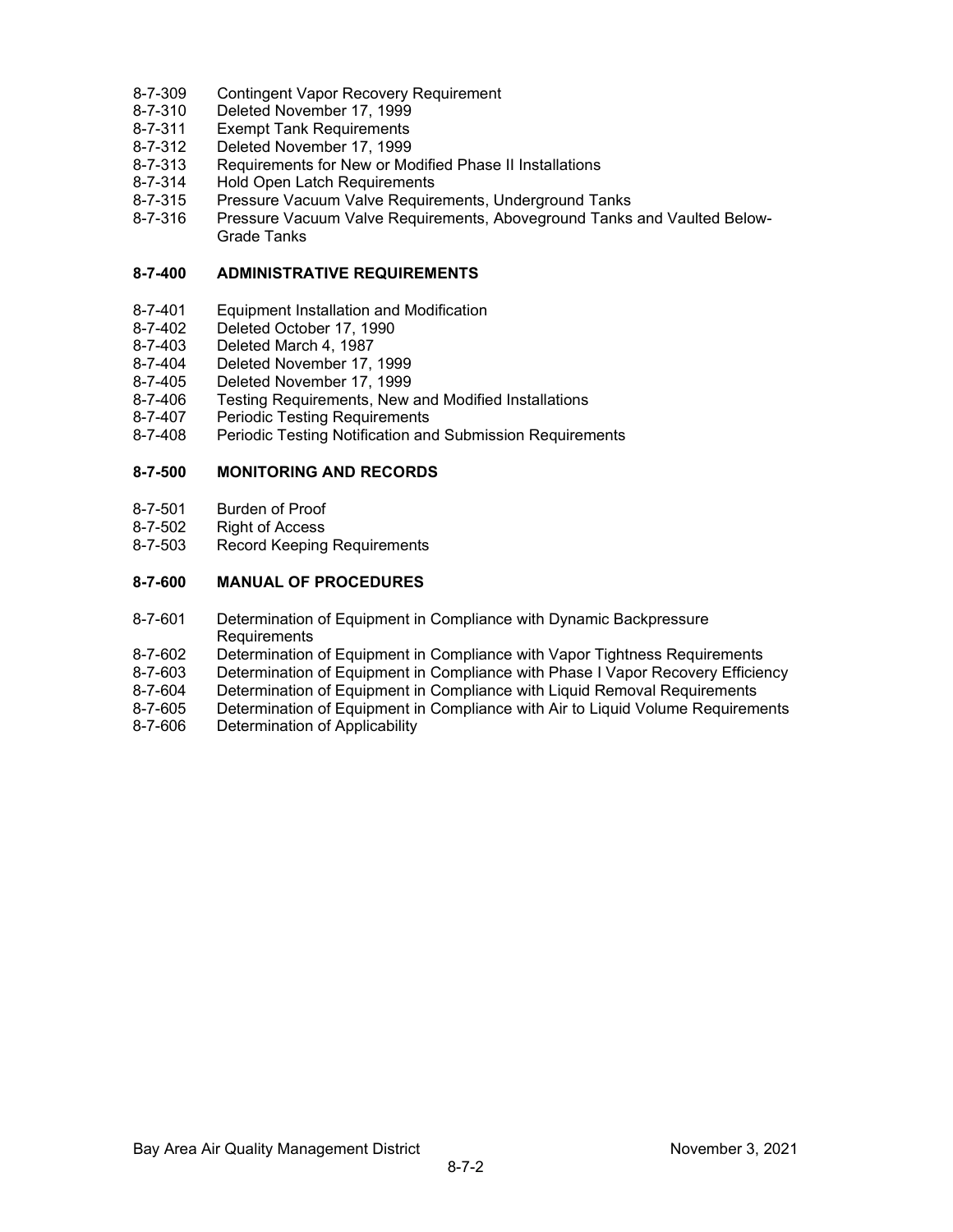- 8-7-309 Contingent Vapor Recovery Requirement
- 8-7-310 Deleted November 17, 1999
- 8-7-311 Exempt Tank Requirements<br>8-7-312 Deleted November 17, 1999
- Deleted November 17, 1999
- 8-7-313 Requirements for New or Modified Phase II Installations
- 8-7-314 Hold Open Latch Requirements
- 8-7-315 Pressure Vacuum Valve Requirements, Underground Tanks
- 8-7-316 Pressure Vacuum Valve Requirements, Aboveground Tanks and Vaulted Below-Grade Tanks

# **8-7-400 ADMINISTRATIVE REQUIREMENTS**

- 8-7-401 Equipment Installation and Modification
- 8-7-402 Deleted October 17, 1990
- 8-7-403 Deleted March 4, 1987
- 8-7-404 Deleted November 17, 1999
- 8-7-405 Deleted November 17, 1999<br>8-7-406 Testing Reguirements, New
- 8-7-406 Testing Requirements, New and Modified Installations<br>8-7-407 Periodic Testing Requirements
- 8-7-407 Periodic Testing Requirements<br>8-7-408 Periodic Testing Notification and
- Periodic Testing Notification and Submission Requirements

### **8-7-500 MONITORING AND RECORDS**

- 8-7-501 Burden of Proof
- 8-7-502 Right of Access<br>8-7-503 Record Keeping
- **Record Keeping Requirements**

# **8-7-600 MANUAL OF PROCEDURES**

- 8-7-601 Determination of Equipment in Compliance with Dynamic Backpressure Requirements
- 
- 8-7-602 Determination of Equipment in Compliance with Vapor Tightness Requirements Determination of Equipment in Compliance with Phase I Vapor Recovery Efficiency
- 8-7-604 Determination of Equipment in Compliance with Liquid Removal Requirements
- 8-7-605 Determination of Equipment in Compliance with Air to Liquid Volume Requirements
- 8-7-606 Determination of Applicability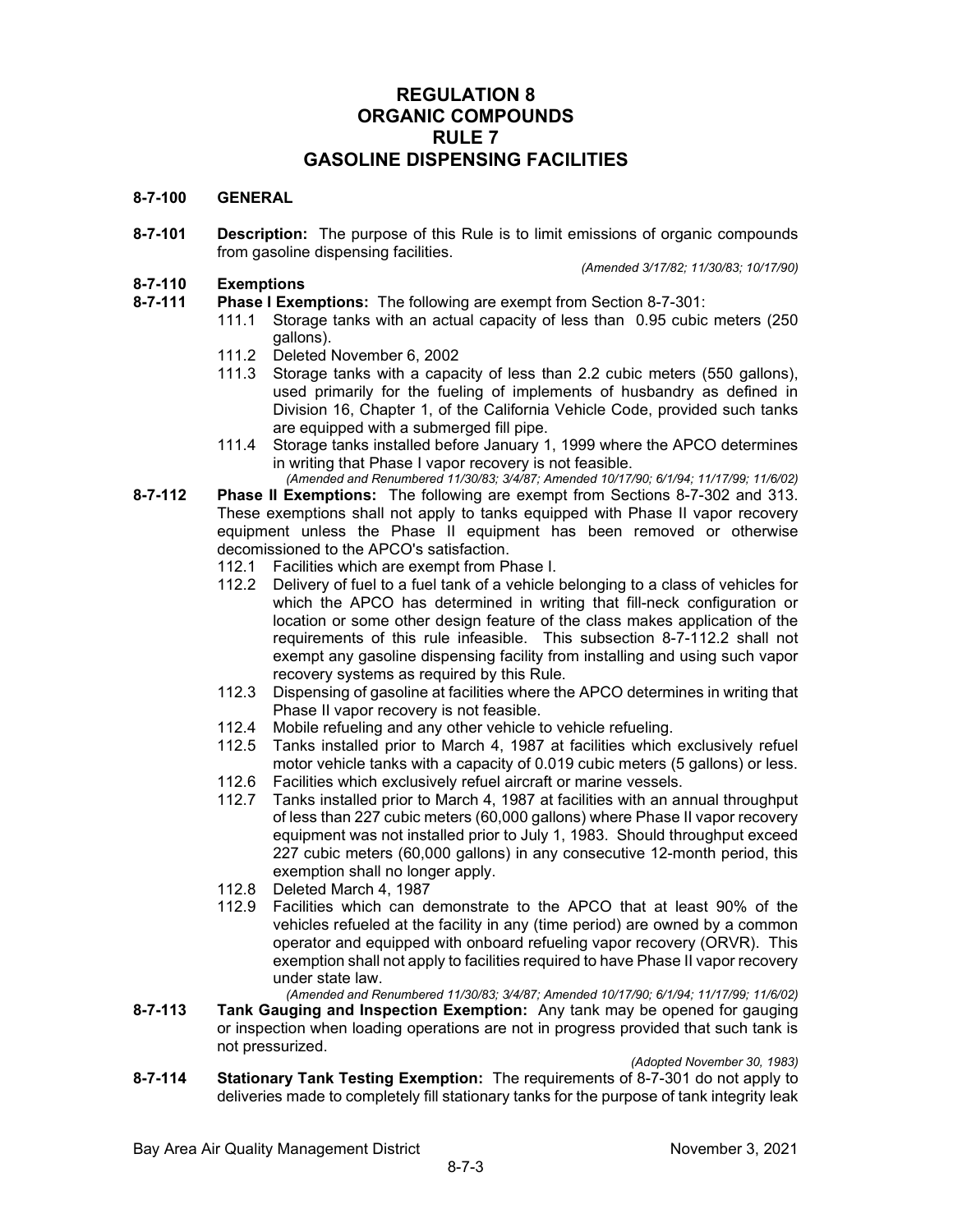# **REGULATION 8 ORGANIC COMPOUNDS RULE 7 GASOLINE DISPENSING FACILITIES**

#### **8-7-100 GENERAL**

**8-7-101 Description:** The purpose of this Rule is to limit emissions of organic compounds from gasoline dispensing facilities.

*(Amended 3/17/82; 11/30/83; 10/17/90)*

# **8-7-110 Exemptions**

- **Phase I Exemptions:** The following are exempt from Section 8-7-301:
	- 111.1 Storage tanks with an actual capacity of less than 0.95 cubic meters (250 gallons).
		- 111.2 Deleted November 6, 2002
		- 111.3 Storage tanks with a capacity of less than 2.2 cubic meters (550 gallons), used primarily for the fueling of implements of husbandry as defined in Division 16, Chapter 1, of the California Vehicle Code, provided such tanks are equipped with a submerged fill pipe.
		- 111.4 Storage tanks installed before January 1, 1999 where the APCO determines in writing that Phase I vapor recovery is not feasible.

*(Amended and Renumbered 11/30/83; 3/4/87; Amended 10/17/90; 6/1/94; 11/17/99; 11/6/02)*

- **8-7-112 Phase II Exemptions:** The following are exempt from Sections 8-7-302 and 313. These exemptions shall not apply to tanks equipped with Phase II vapor recovery equipment unless the Phase II equipment has been removed or otherwise decomissioned to the APCO's satisfaction.
	- 112.1 Facilities which are exempt from Phase I.
	- 112.2 Delivery of fuel to a fuel tank of a vehicle belonging to a class of vehicles for which the APCO has determined in writing that fill-neck configuration or location or some other design feature of the class makes application of the requirements of this rule infeasible. This subsection 8-7-112.2 shall not exempt any gasoline dispensing facility from installing and using such vapor recovery systems as required by this Rule.
	- 112.3 Dispensing of gasoline at facilities where the APCO determines in writing that Phase II vapor recovery is not feasible.
	- 112.4 Mobile refueling and any other vehicle to vehicle refueling.<br>112.5 Tanks installed prior to March 4, 1987 at facilities which
	- Tanks installed prior to March 4, 1987 at facilities which exclusively refuel motor vehicle tanks with a capacity of 0.019 cubic meters (5 gallons) or less.
	- 112.6 Facilities which exclusively refuel aircraft or marine vessels.
	- 112.7 Tanks installed prior to March 4, 1987 at facilities with an annual throughput of less than 227 cubic meters (60,000 gallons) where Phase II vapor recovery equipment was not installed prior to July 1, 1983. Should throughput exceed 227 cubic meters (60,000 gallons) in any consecutive 12-month period, this exemption shall no longer apply.
	- 112.8 Deleted March 4, 1987
	- 112.9 Facilities which can demonstrate to the APCO that at least 90% of the vehicles refueled at the facility in any (time period) are owned by a common operator and equipped with onboard refueling vapor recovery (ORVR). This exemption shall not apply to facilities required to have Phase II vapor recovery under state law.

*(Amended and Renumbered 11/30/83; 3/4/87; Amended 10/17/90; 6/1/94; 11/17/99; 11/6/02)*

**8-7-113 Tank Gauging and Inspection Exemption:** Any tank may be opened for gauging or inspection when loading operations are not in progress provided that such tank is not pressurized.

*(Adopted November 30, 1983)*

**8-7-114 Stationary Tank Testing Exemption:** The requirements of 8-7-301 do not apply to deliveries made to completely fill stationary tanks for the purpose of tank integrity leak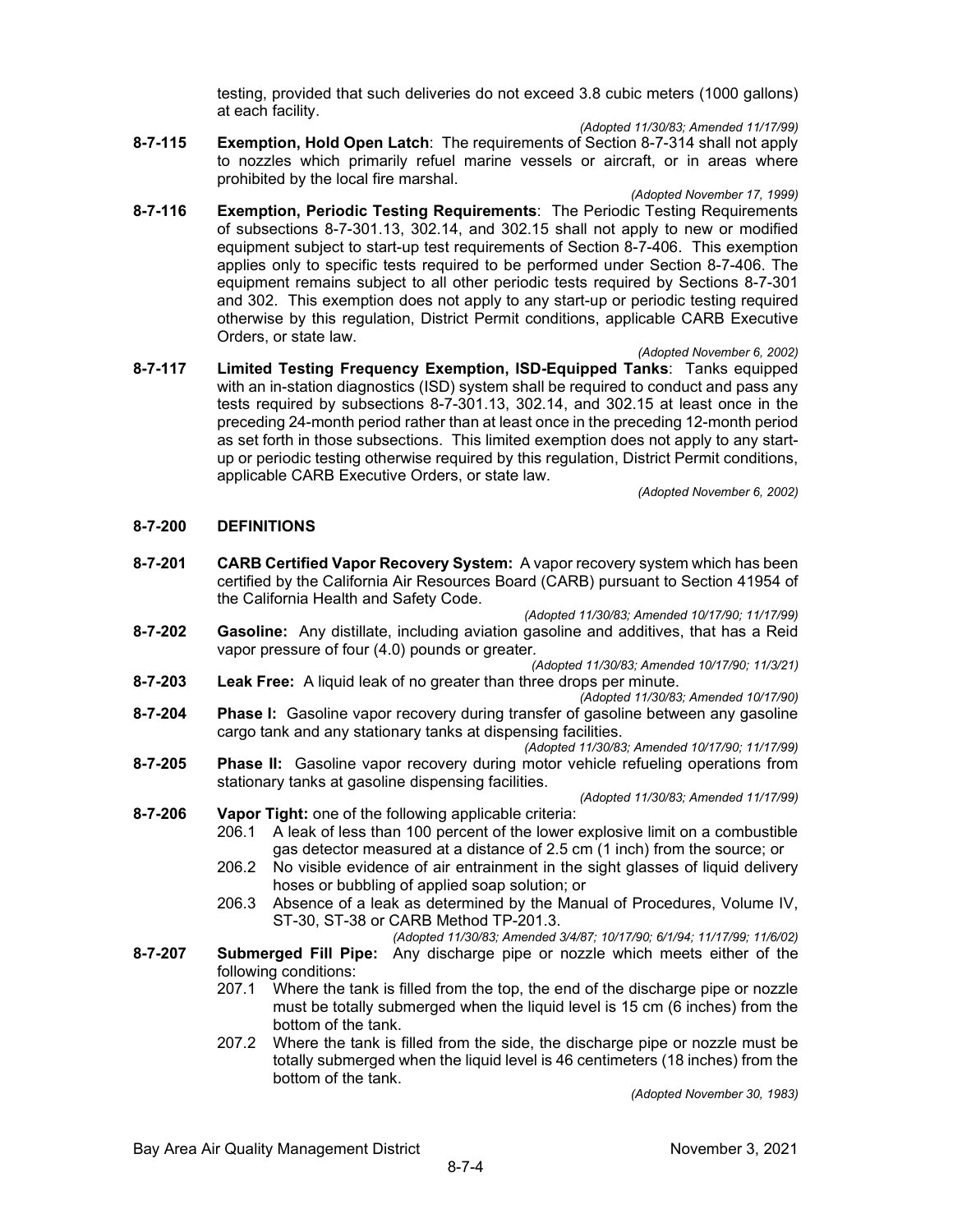testing, provided that such deliveries do not exceed 3.8 cubic meters (1000 gallons) at each facility.

- *(Adopted 11/30/83; Amended 11/17/99)*
- **8-7-115 Exemption, Hold Open Latch**: The requirements of Section 8-7-314 shall not apply to nozzles which primarily refuel marine vessels or aircraft, or in areas where prohibited by the local fire marshal.
	- *(Adopted November 17, 1999)*
- **8-7-116 Exemption, Periodic Testing Requirements**: The Periodic Testing Requirements of subsections 8-7-301.13, 302.14, and 302.15 shall not apply to new or modified equipment subject to start-up test requirements of Section 8-7-406. This exemption applies only to specific tests required to be performed under Section 8-7-406. The equipment remains subject to all other periodic tests required by Sections 8-7-301 and 302. This exemption does not apply to any start-up or periodic testing required otherwise by this regulation, District Permit conditions, applicable CARB Executive Orders, or state law.
- *(Adopted November 6, 2002)* **8-7-117 Limited Testing Frequency Exemption, ISD-Equipped Tanks**: Tanks equipped with an in-station diagnostics (ISD) system shall be required to conduct and pass any tests required by subsections 8-7-301.13, 302.14, and 302.15 at least once in the preceding 24-month period rather than at least once in the preceding 12-month period as set forth in those subsections. This limited exemption does not apply to any startup or periodic testing otherwise required by this regulation, District Permit conditions, applicable CARB Executive Orders, or state law.

*(Adopted November 6, 2002)*

### **8-7-200 DEFINITIONS**

- **8-7-201 CARB Certified Vapor Recovery System:** A vapor recovery system which has been certified by the California Air Resources Board (CARB) pursuant to Section 41954 of the California Health and Safety Code.
- *(Adopted 11/30/83; Amended 10/17/90; 11/17/99)* **8-7-202 Gasoline:** Any distillate, including aviation gasoline and additives, that has a Reid vapor pressure of four (4.0) pounds or greater*.*

*(Adopted 11/30/83; Amended 10/17/90; 11/3/21)*

- **8-7-203 Leak Free:** A liquid leak of no greater than three drops per minute.
- *(Adopted 11/30/83; Amended 10/17/90)* **8-7-204 Phase I:** Gasoline vapor recovery during transfer of gasoline between any gasoline cargo tank and any stationary tanks at dispensing facilities.
- *(Adopted 11/30/83; Amended 10/17/90; 11/17/99)* **8-7-205 Phase II:** Gasoline vapor recovery during motor vehicle refueling operations from stationary tanks at gasoline dispensing facilities.

*(Adopted 11/30/83; Amended 11/17/99)*

- **8-7-206 Vapor Tight:** one of the following applicable criteria: 206.1 A leak of less than 100 percent of the lower explosive limit on a combustible gas detector measured at a distance of 2.5 cm (1 inch) from the source; or
	- 206.2 No visible evidence of air entrainment in the sight glasses of liquid delivery
		- hoses or bubbling of applied soap solution; or
	- 206.3 Absence of a leak as determined by the Manual of Procedures, Volume IV, ST-30, ST-38 or CARB Method TP-201.3.

*(Adopted 11/30/83; Amended 3/4/87; 10/17/90; 6/1/94; 11/17/99; 11/6/02)*

- **8-7-207 Submerged Fill Pipe:** Any discharge pipe or nozzle which meets either of the following conditions:
	- 207.1 Where the tank is filled from the top, the end of the discharge pipe or nozzle must be totally submerged when the liquid level is 15 cm (6 inches) from the bottom of the tank.
	- 207.2 Where the tank is filled from the side, the discharge pipe or nozzle must be totally submerged when the liquid level is 46 centimeters (18 inches) from the bottom of the tank.

*(Adopted November 30, 1983)*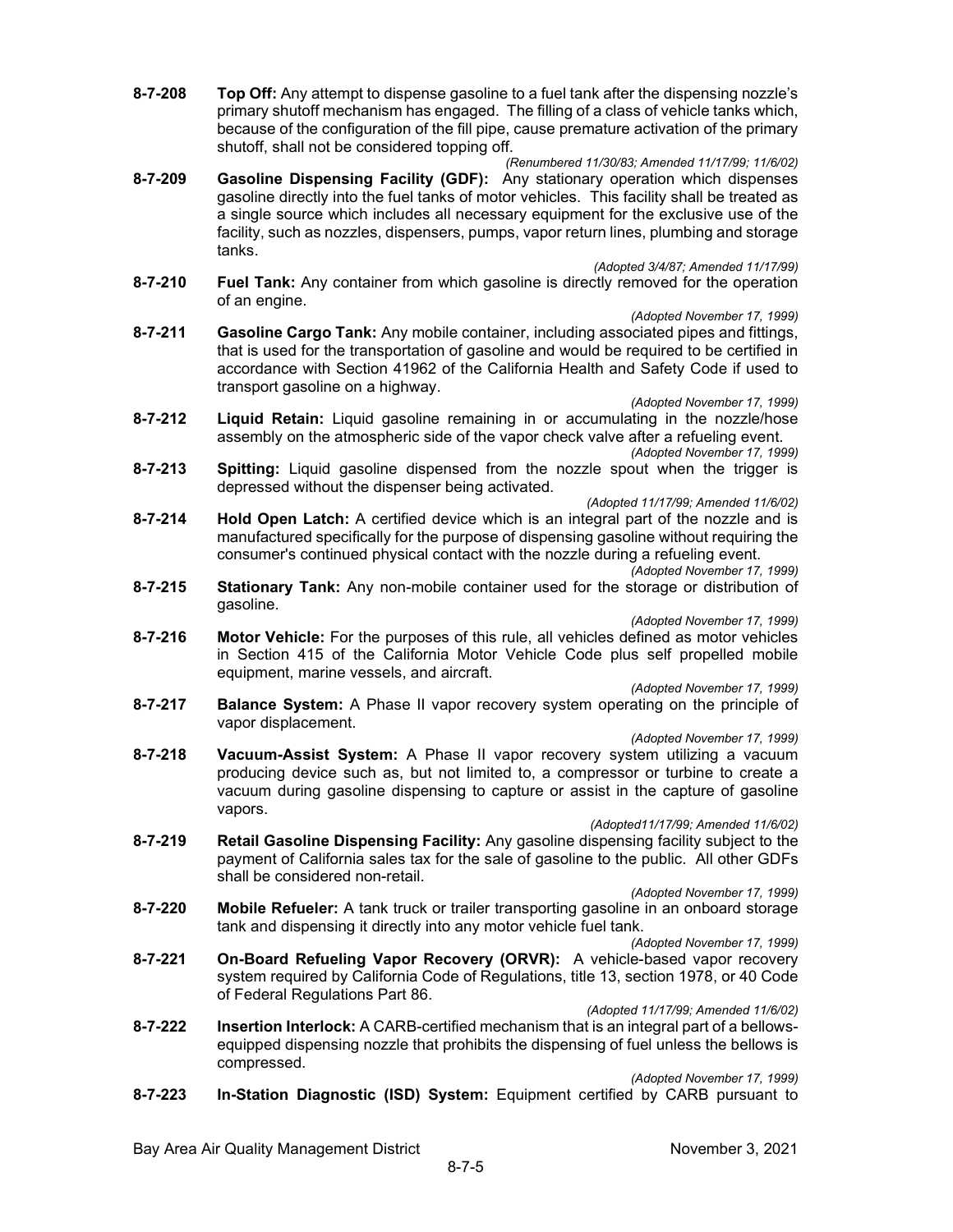- **8-7-208 Top Off:** Any attempt to dispense gasoline to a fuel tank after the dispensing nozzle's primary shutoff mechanism has engaged. The filling of a class of vehicle tanks which, because of the configuration of the fill pipe, cause premature activation of the primary shutoff, shall not be considered topping off.
- *(Renumbered 11/30/83; Amended 11/17/99; 11/6/02)* **8-7-209 Gasoline Dispensing Facility (GDF):** Any stationary operation which dispenses gasoline directly into the fuel tanks of motor vehicles. This facility shall be treated as a single source which includes all necessary equipment for the exclusive use of the facility, such as nozzles, dispensers, pumps, vapor return lines, plumbing and storage tanks.

*(Adopted 3/4/87; Amended 11/17/99)*

- **8-7-210 Fuel Tank:** Any container from which gasoline is directly removed for the operation of an engine.
	- *(Adopted November 17, 1999)*
- **8-7-211 Gasoline Cargo Tank:** Any mobile container, including associated pipes and fittings, that is used for the transportation of gasoline and would be required to be certified in accordance with Section 41962 of the California Health and Safety Code if used to transport gasoline on a highway.

#### *(Adopted November 17, 1999)*

**8-7-212 Liquid Retain:** Liquid gasoline remaining in or accumulating in the nozzle/hose assembly on the atmospheric side of the vapor check valve after a refueling event.

*(Adopted November 17, 1999)*

**8-7-213 Spitting:** Liquid gasoline dispensed from the nozzle spout when the trigger is depressed without the dispenser being activated.

*(Adopted 11/17/99; Amended 11/6/02)*

**8-7-214 Hold Open Latch:** A certified device which is an integral part of the nozzle and is manufactured specifically for the purpose of dispensing gasoline without requiring the consumer's continued physical contact with the nozzle during a refueling event.

*(Adopted November 17, 1999)*

**8-7-215 Stationary Tank:** Any non-mobile container used for the storage or distribution of gasoline.

*(Adopted November 17, 1999)*

**8-7-216 Motor Vehicle:** For the purposes of this rule, all vehicles defined as motor vehicles in Section 415 of the California Motor Vehicle Code plus self propelled mobile equipment, marine vessels, and aircraft.

*(Adopted November 17, 1999)*

**8-7-217 Balance System:** A Phase II vapor recovery system operating on the principle of vapor displacement.

*(Adopted November 17, 1999)*

**8-7-218 Vacuum-Assist System:** A Phase II vapor recovery system utilizing a vacuum producing device such as, but not limited to, a compressor or turbine to create a vacuum during gasoline dispensing to capture or assist in the capture of gasoline vapors.

*(Adopted11/17/99; Amended 11/6/02)*

**8-7-219 Retail Gasoline Dispensing Facility:** Any gasoline dispensing facility subject to the payment of California sales tax for the sale of gasoline to the public. All other GDFs shall be considered non-retail.

*(Adopted November 17, 1999)*

- **8-7-220 Mobile Refueler:** A tank truck or trailer transporting gasoline in an onboard storage tank and dispensing it directly into any motor vehicle fuel tank.
- *(Adopted November 17, 1999)* **8-7-221 On-Board Refueling Vapor Recovery (ORVR):** A vehicle-based vapor recovery system required by California Code of Regulations, title 13, section 1978, or 40 Code of Federal Regulations Part 86.
- *(Adopted 11/17/99; Amended 11/6/02)* **8-7-222 Insertion Interlock:** A CARB-certified mechanism that is an integral part of a bellowsequipped dispensing nozzle that prohibits the dispensing of fuel unless the bellows is compressed.

*(Adopted November 17, 1999)*

**8-7-223 In-Station Diagnostic (ISD) System:** Equipment certified by CARB pursuant to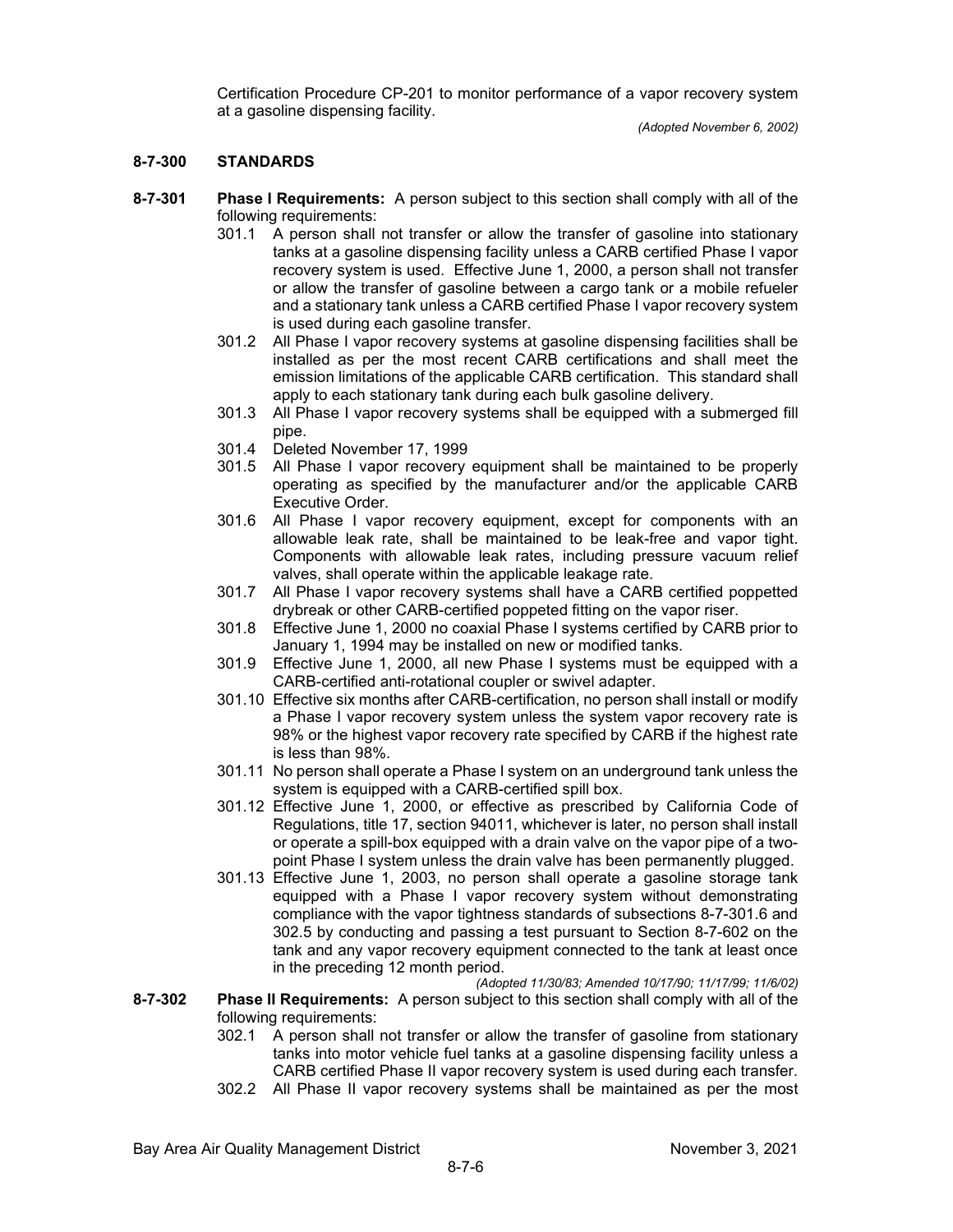Certification Procedure CP-201 to monitor performance of a vapor recovery system at a gasoline dispensing facility.

## **8-7-300 STANDARDS**

- **8-7-301 Phase I Requirements:** A person subject to this section shall comply with all of the following requirements:
	- 301.1 A person shall not transfer or allow the transfer of gasoline into stationary tanks at a gasoline dispensing facility unless a CARB certified Phase I vapor recovery system is used. Effective June 1, 2000, a person shall not transfer or allow the transfer of gasoline between a cargo tank or a mobile refueler and a stationary tank unless a CARB certified Phase I vapor recovery system is used during each gasoline transfer.
	- 301.2 All Phase I vapor recovery systems at gasoline dispensing facilities shall be installed as per the most recent CARB certifications and shall meet the emission limitations of the applicable CARB certification. This standard shall apply to each stationary tank during each bulk gasoline delivery.
	- 301.3 All Phase I vapor recovery systems shall be equipped with a submerged fill pipe.
	- 301.4 Deleted November 17, 1999
	- 301.5 All Phase I vapor recovery equipment shall be maintained to be properly operating as specified by the manufacturer and/or the applicable CARB Executive Order.
	- 301.6 All Phase I vapor recovery equipment, except for components with an allowable leak rate, shall be maintained to be leak-free and vapor tight. Components with allowable leak rates, including pressure vacuum relief valves, shall operate within the applicable leakage rate.
	- 301.7 All Phase I vapor recovery systems shall have a CARB certified poppetted drybreak or other CARB-certified poppeted fitting on the vapor riser.
	- 301.8 Effective June 1, 2000 no coaxial Phase I systems certified by CARB prior to January 1, 1994 may be installed on new or modified tanks.
	- 301.9 Effective June 1, 2000, all new Phase I systems must be equipped with a CARB-certified anti-rotational coupler or swivel adapter.
	- 301.10 Effective six months after CARB-certification, no person shall install or modify a Phase I vapor recovery system unless the system vapor recovery rate is 98% or the highest vapor recovery rate specified by CARB if the highest rate is less than 98%.
	- 301.11 No person shall operate a Phase I system on an underground tank unless the system is equipped with a CARB-certified spill box.
	- 301.12 Effective June 1, 2000, or effective as prescribed by California Code of Regulations, title 17, section 94011, whichever is later, no person shall install or operate a spill-box equipped with a drain valve on the vapor pipe of a twopoint Phase I system unless the drain valve has been permanently plugged.
	- 301.13 Effective June 1, 2003, no person shall operate a gasoline storage tank equipped with a Phase I vapor recovery system without demonstrating compliance with the vapor tightness standards of subsections 8-7-301.6 and 302.5 by conducting and passing a test pursuant to Section 8-7-602 on the tank and any vapor recovery equipment connected to the tank at least once in the preceding 12 month period.

*(Adopted 11/30/83; Amended 10/17/90; 11/17/99; 11/6/02)*

- **8-7-302 Phase II Requirements:** A person subject to this section shall comply with all of the following requirements:
	- 302.1 A person shall not transfer or allow the transfer of gasoline from stationary tanks into motor vehicle fuel tanks at a gasoline dispensing facility unless a CARB certified Phase II vapor recovery system is used during each transfer.
	- 302.2 All Phase II vapor recovery systems shall be maintained as per the most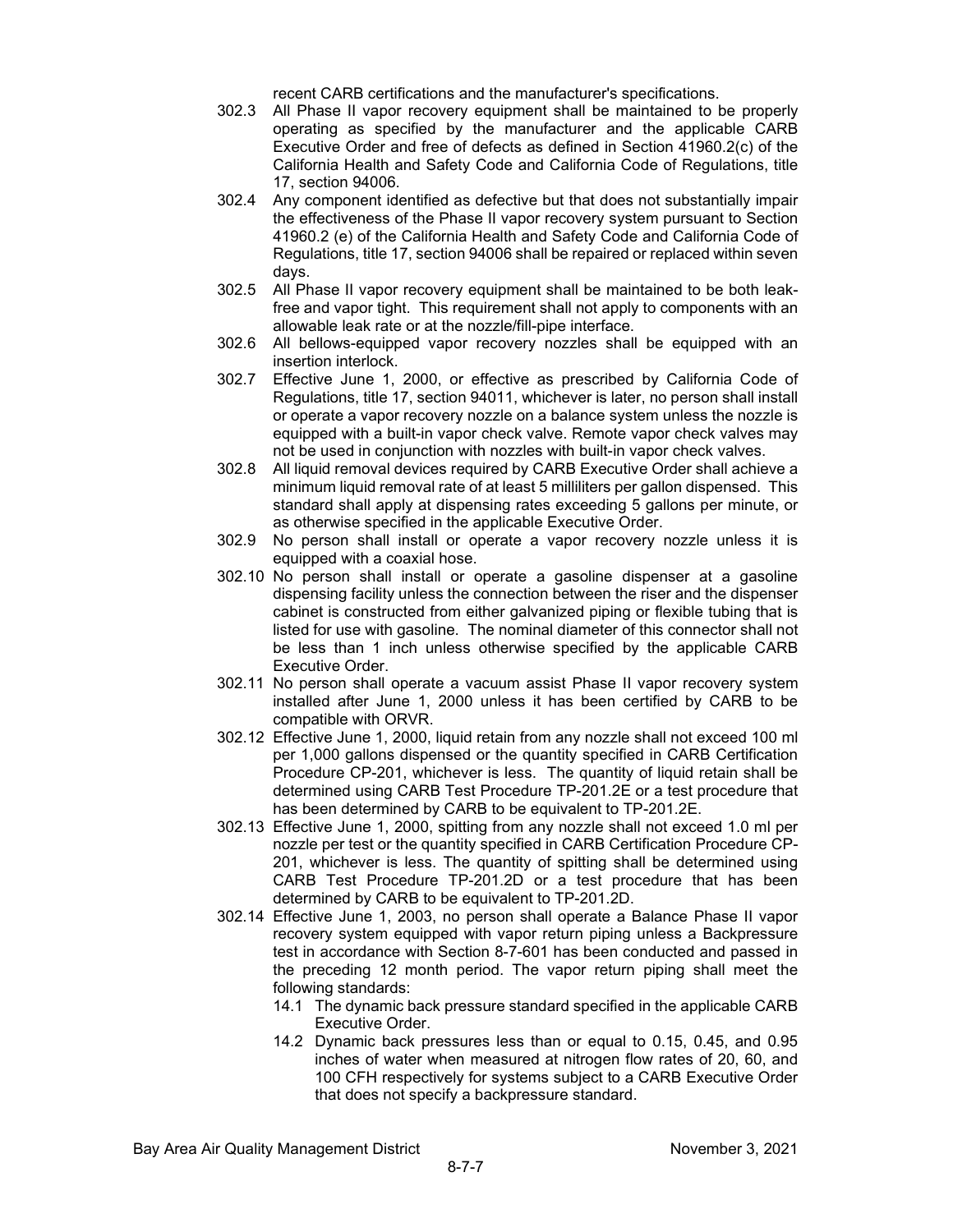recent CARB certifications and the manufacturer's specifications.

- 302.3 All Phase II vapor recovery equipment shall be maintained to be properly operating as specified by the manufacturer and the applicable CARB Executive Order and free of defects as defined in Section 41960.2(c) of the California Health and Safety Code and California Code of Regulations, title 17, section 94006.
- 302.4 Any component identified as defective but that does not substantially impair the effectiveness of the Phase II vapor recovery system pursuant to Section 41960.2 (e) of the California Health and Safety Code and California Code of Regulations, title 17, section 94006 shall be repaired or replaced within seven days.
- 302.5 All Phase II vapor recovery equipment shall be maintained to be both leakfree and vapor tight. This requirement shall not apply to components with an allowable leak rate or at the nozzle/fill-pipe interface.
- 302.6 All bellows-equipped vapor recovery nozzles shall be equipped with an insertion interlock.
- 302.7 Effective June 1, 2000, or effective as prescribed by California Code of Regulations, title 17, section 94011, whichever is later, no person shall install or operate a vapor recovery nozzle on a balance system unless the nozzle is equipped with a built-in vapor check valve. Remote vapor check valves may not be used in conjunction with nozzles with built-in vapor check valves.
- 302.8 All liquid removal devices required by CARB Executive Order shall achieve a minimum liquid removal rate of at least 5 milliliters per gallon dispensed. This standard shall apply at dispensing rates exceeding 5 gallons per minute, or as otherwise specified in the applicable Executive Order.
- 302.9 No person shall install or operate a vapor recovery nozzle unless it is equipped with a coaxial hose.
- 302.10 No person shall install or operate a gasoline dispenser at a gasoline dispensing facility unless the connection between the riser and the dispenser cabinet is constructed from either galvanized piping or flexible tubing that is listed for use with gasoline. The nominal diameter of this connector shall not be less than 1 inch unless otherwise specified by the applicable CARB Executive Order.
- 302.11 No person shall operate a vacuum assist Phase II vapor recovery system installed after June 1, 2000 unless it has been certified by CARB to be compatible with ORVR.
- 302.12 Effective June 1, 2000, liquid retain from any nozzle shall not exceed 100 ml per 1,000 gallons dispensed or the quantity specified in CARB Certification Procedure CP-201, whichever is less. The quantity of liquid retain shall be determined using CARB Test Procedure TP-201.2E or a test procedure that has been determined by CARB to be equivalent to TP-201.2E.
- 302.13 Effective June 1, 2000, spitting from any nozzle shall not exceed 1.0 ml per nozzle per test or the quantity specified in CARB Certification Procedure CP-201, whichever is less. The quantity of spitting shall be determined using CARB Test Procedure TP-201.2D or a test procedure that has been determined by CARB to be equivalent to TP-201.2D.
- 302.14 Effective June 1, 2003, no person shall operate a Balance Phase II vapor recovery system equipped with vapor return piping unless a Backpressure test in accordance with Section 8-7-601 has been conducted and passed in the preceding 12 month period. The vapor return piping shall meet the following standards:
	- 14.1 The dynamic back pressure standard specified in the applicable CARB Executive Order.
	- 14.2 Dynamic back pressures less than or equal to 0.15, 0.45, and 0.95 inches of water when measured at nitrogen flow rates of 20, 60, and 100 CFH respectively for systems subject to a CARB Executive Order that does not specify a backpressure standard.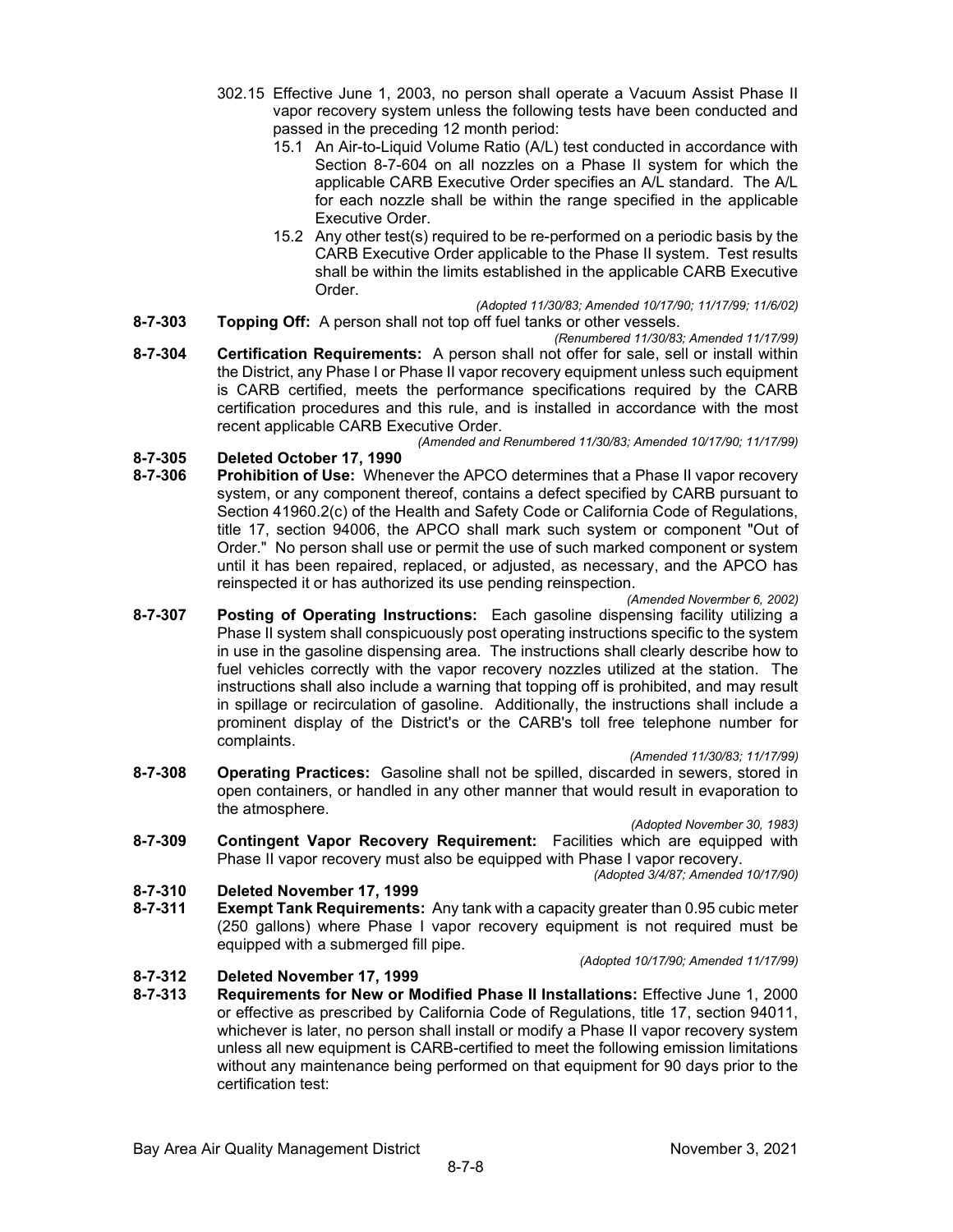- 302.15 Effective June 1, 2003, no person shall operate a Vacuum Assist Phase II vapor recovery system unless the following tests have been conducted and passed in the preceding 12 month period:
	- 15.1 An Air-to-Liquid Volume Ratio (A/L) test conducted in accordance with Section 8-7-604 on all nozzles on a Phase II system for which the applicable CARB Executive Order specifies an A/L standard. The A/L for each nozzle shall be within the range specified in the applicable Executive Order.
	- 15.2 Any other test(s) required to be re-performed on a periodic basis by the CARB Executive Order applicable to the Phase II system. Test results shall be within the limits established in the applicable CARB Executive Order.
- *(Adopted 11/30/83; Amended 10/17/90; 11/17/99; 11/6/02)* **8-7-303 Topping Off:** A person shall not top off fuel tanks or other vessels.
- *(Renumbered 11/30/83; Amended 11/17/99)* **8-7-304 Certification Requirements:** A person shall not offer for sale, sell or install within the District, any Phase I or Phase II vapor recovery equipment unless such equipment is CARB certified, meets the performance specifications required by the CARB certification procedures and this rule, and is installed in accordance with the most recent applicable CARB Executive Order.

*(Amended and Renumbered 11/30/83; Amended 10/17/90; 11/17/99)*

# **8-7-305 Deleted October 17, 1990**

**Prohibition of Use:** Whenever the APCO determines that a Phase II vapor recovery system, or any component thereof, contains a defect specified by CARB pursuant to Section 41960.2(c) of the Health and Safety Code or California Code of Regulations, title 17, section 94006, the APCO shall mark such system or component "Out of Order." No person shall use or permit the use of such marked component or system until it has been repaired, replaced, or adjusted, as necessary, and the APCO has reinspected it or has authorized its use pending reinspection.

*(Amended Novermber 6, 2002)*

**8-7-307 Posting of Operating Instructions:** Each gasoline dispensing facility utilizing a Phase II system shall conspicuously post operating instructions specific to the system in use in the gasoline dispensing area. The instructions shall clearly describe how to fuel vehicles correctly with the vapor recovery nozzles utilized at the station. The instructions shall also include a warning that topping off is prohibited, and may result in spillage or recirculation of gasoline. Additionally, the instructions shall include a prominent display of the District's or the CARB's toll free telephone number for complaints.

*(Amended 11/30/83; 11/17/99)*

**8-7-308 Operating Practices:** Gasoline shall not be spilled, discarded in sewers, stored in open containers, or handled in any other manner that would result in evaporation to the atmosphere.

*(Adopted November 30, 1983)*

**8-7-309 Contingent Vapor Recovery Requirement:** Facilities which are equipped with Phase II vapor recovery must also be equipped with Phase I vapor recovery.

*(Adopted 3/4/87; Amended 10/17/90)*

# **8-7-310 Deleted November 17, 1999**

**Exempt Tank Requirements:** Any tank with a capacity greater than 0.95 cubic meter (250 gallons) where Phase I vapor recovery equipment is not required must be equipped with a submerged fill pipe.

*(Adopted 10/17/90; Amended 11/17/99)*

# **8-7-312 Deleted November 17, 1999**

**8-7-313 Requirements for New or Modified Phase II Installations:** Effective June 1, 2000 or effective as prescribed by California Code of Regulations, title 17, section 94011, whichever is later, no person shall install or modify a Phase II vapor recovery system unless all new equipment is CARB-certified to meet the following emission limitations without any maintenance being performed on that equipment for 90 days prior to the certification test: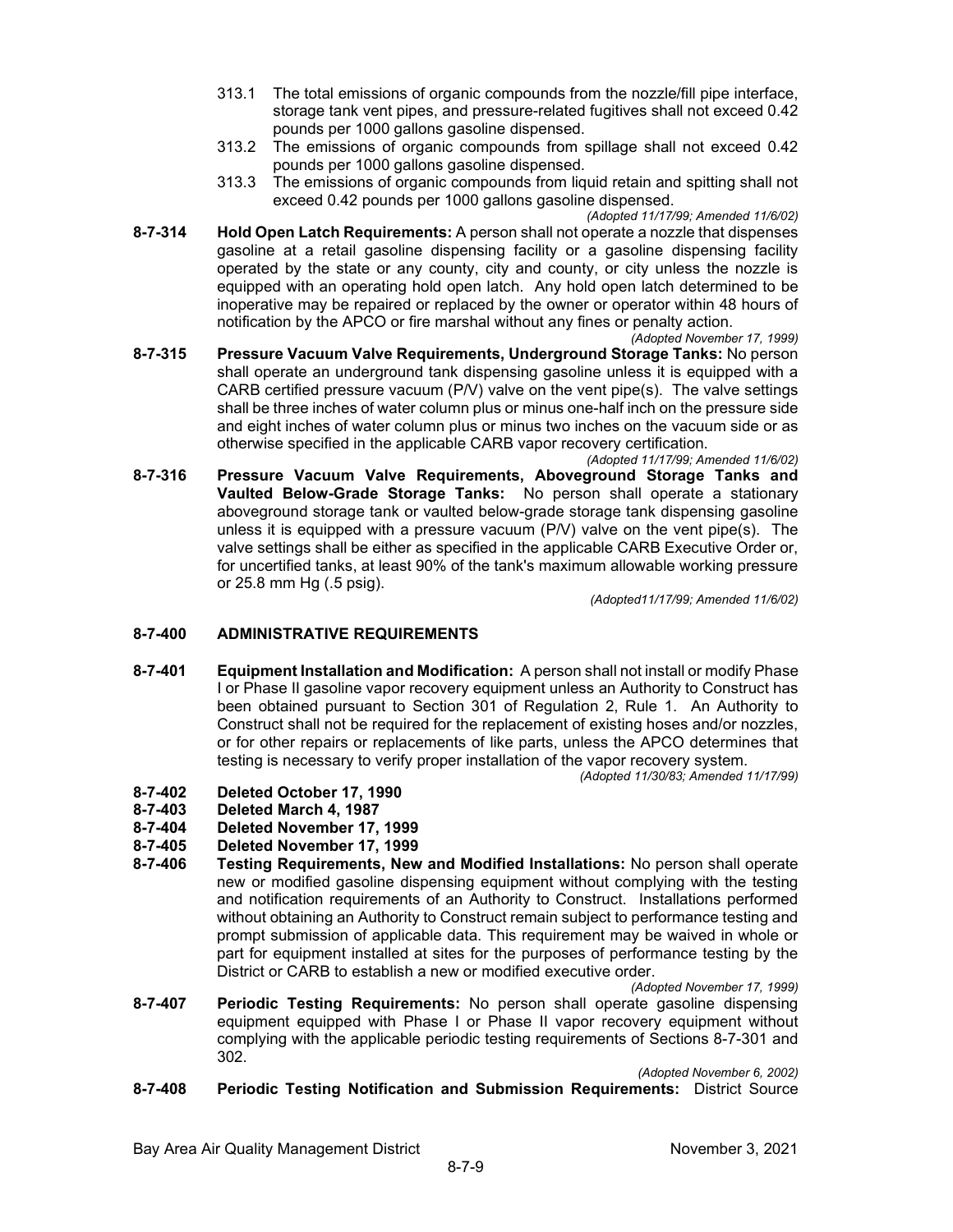- 313.1 The total emissions of organic compounds from the nozzle/fill pipe interface, storage tank vent pipes, and pressure-related fugitives shall not exceed 0.42 pounds per 1000 gallons gasoline dispensed.
- 313.2 The emissions of organic compounds from spillage shall not exceed 0.42 pounds per 1000 gallons gasoline dispensed.
- 313.3 The emissions of organic compounds from liquid retain and spitting shall not exceed 0.42 pounds per 1000 gallons gasoline dispensed.
- *(Adopted 11/17/99; Amended 11/6/02)* **8-7-314 Hold Open Latch Requirements:** A person shall not operate a nozzle that dispenses gasoline at a retail gasoline dispensing facility or a gasoline dispensing facility operated by the state or any county, city and county, or city unless the nozzle is equipped with an operating hold open latch. Any hold open latch determined to be inoperative may be repaired or replaced by the owner or operator within 48 hours of notification by the APCO or fire marshal without any fines or penalty action.
- *(Adopted November 17, 1999)* **8-7-315 Pressure Vacuum Valve Requirements, Underground Storage Tanks:** No person shall operate an underground tank dispensing gasoline unless it is equipped with a CARB certified pressure vacuum  $(P/V)$  valve on the vent pipe(s). The valve settings shall be three inches of water column plus or minus one-half inch on the pressure side and eight inches of water column plus or minus two inches on the vacuum side or as otherwise specified in the applicable CARB vapor recovery certification.
- *(Adopted 11/17/99; Amended 11/6/02)* **8-7-316 Pressure Vacuum Valve Requirements, Aboveground Storage Tanks and Vaulted Below-Grade Storage Tanks:** No person shall operate a stationary aboveground storage tank or vaulted below-grade storage tank dispensing gasoline unless it is equipped with a pressure vacuum (P/V) valve on the vent pipe(s). The valve settings shall be either as specified in the applicable CARB Executive Order or, for uncertified tanks, at least 90% of the tank's maximum allowable working pressure or 25.8 mm Hg (.5 psig).

*(Adopted11/17/99; Amended 11/6/02)*

# **8-7-400 ADMINISTRATIVE REQUIREMENTS**

**8-7-401 Equipment Installation and Modification:** A person shall not install or modify Phase I or Phase II gasoline vapor recovery equipment unless an Authority to Construct has been obtained pursuant to Section 301 of Regulation 2, Rule 1. An Authority to Construct shall not be required for the replacement of existing hoses and/or nozzles, or for other repairs or replacements of like parts, unless the APCO determines that testing is necessary to verify proper installation of the vapor recovery system.

*(Adopted 11/30/83; Amended 11/17/99)*

- **8-7-402 Deleted October 17, 1990**
- **8-7-403 Deleted March 4, 1987**
- **8-7-404 Deleted November 17, 1999**
- **8-7-405 Deleted November 17, 1999**
- **8-7-406 Testing Requirements, New and Modified Installations:** No person shall operate new or modified gasoline dispensing equipment without complying with the testing and notification requirements of an Authority to Construct. Installations performed without obtaining an Authority to Construct remain subject to performance testing and prompt submission of applicable data. This requirement may be waived in whole or part for equipment installed at sites for the purposes of performance testing by the District or CARB to establish a new or modified executive order.

*(Adopted November 17, 1999)*

**8-7-407 Periodic Testing Requirements:** No person shall operate gasoline dispensing equipment equipped with Phase I or Phase II vapor recovery equipment without complying with the applicable periodic testing requirements of Sections 8-7-301 and 302.

*(Adopted November 6, 2002)*

### **8-7-408 Periodic Testing Notification and Submission Requirements:** District Source